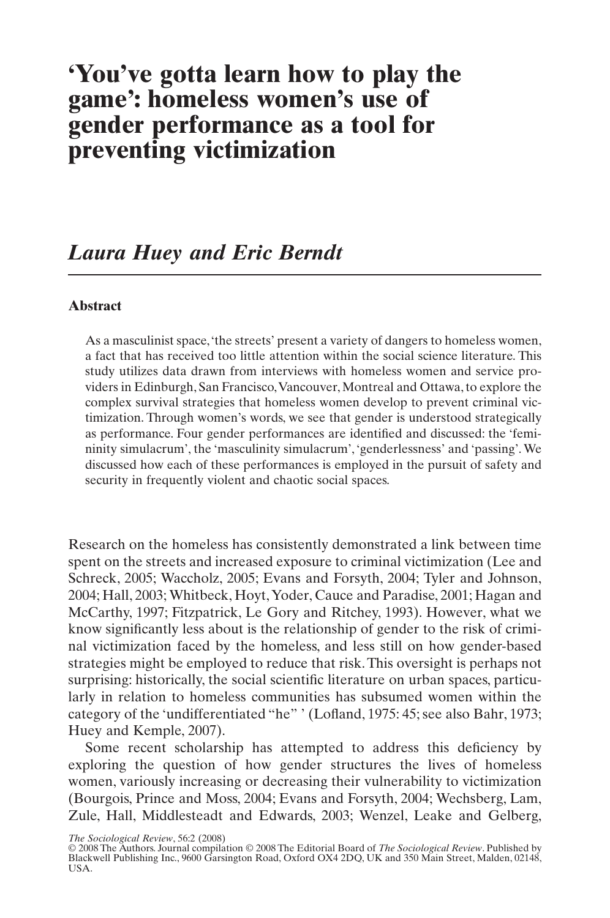# **'You've gotta learn how to play the game': homeless women's use of gender performance as a tool for preventing victimization**

# *Laura Huey and Eric Berndt*

#### **Abstract**

As a masculinist space,'the streets' present a variety of dangers to homeless women, a fact that has received too little attention within the social science literature. This study utilizes data drawn from interviews with homeless women and service providers in Edinburgh, San Francisco,Vancouver, Montreal and Ottawa, to explore the complex survival strategies that homeless women develop to prevent criminal victimization. Through women's words, we see that gender is understood strategically as performance. Four gender performances are identified and discussed: the 'femininity simulacrum', the 'masculinity simulacrum', 'genderlessness' and 'passing'. We discussed how each of these performances is employed in the pursuit of safety and security in frequently violent and chaotic social spaces.

Research on the homeless has consistently demonstrated a link between time spent on the streets and increased exposure to criminal victimization (Lee and Schreck, 2005; Waccholz, 2005; Evans and Forsyth, 2004; Tyler and Johnson, 2004; Hall, 2003; Whitbeck, Hoyt,Yoder, Cauce and Paradise, 2001; Hagan and McCarthy, 1997; Fitzpatrick, Le Gory and Ritchey, 1993). However, what we know significantly less about is the relationship of gender to the risk of criminal victimization faced by the homeless, and less still on how gender-based strategies might be employed to reduce that risk. This oversight is perhaps not surprising: historically, the social scientific literature on urban spaces, particularly in relation to homeless communities has subsumed women within the category of the 'undifferentiated "he" ' (Lofland, 1975: 45; see also Bahr, 1973; Huey and Kemple, 2007).

Some recent scholarship has attempted to address this deficiency by exploring the question of how gender structures the lives of homeless women, variously increasing or decreasing their vulnerability to victimization (Bourgois, Prince and Moss, 2004; Evans and Forsyth, 2004; Wechsberg, Lam, Zule, Hall, Middlesteadt and Edwards, 2003; Wenzel, Leake and Gelberg,

*The Sociological Review*, 56:2 (2008)

<sup>© 2008</sup> The Authors. Journal compilation © 2008 The Editorial Board of *The Sociological Review*. Published by Blackwell Publishing Inc., 9600 Garsington Road, Oxford OX4 2DQ, UK and 350 Main Street, Malden, 02148, USA.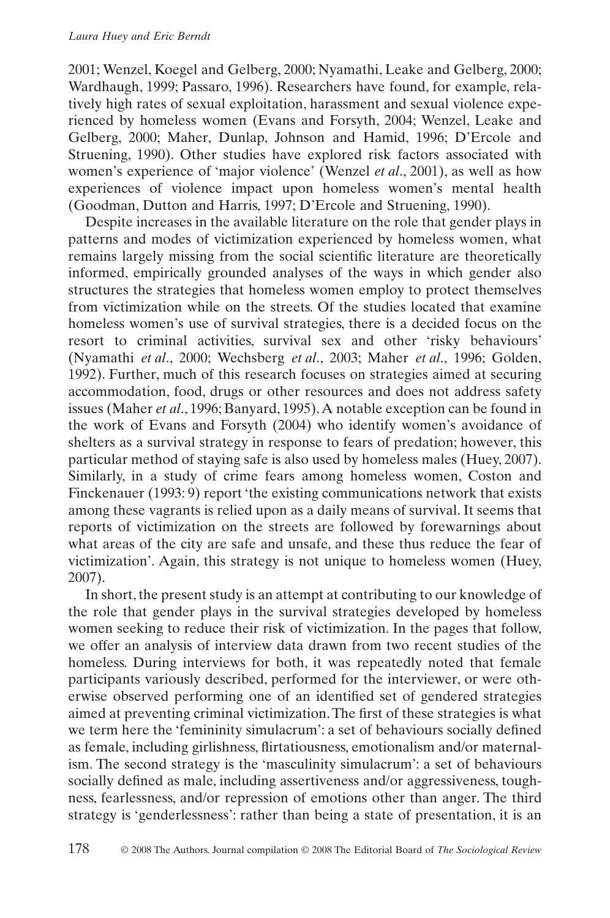2001; Wenzel, Koegel and Gelberg, 2000; Nyamathi, Leake and Gelberg, 2000; Wardhaugh, 1999; Passaro, 1996). Researchers have found, for example, relatively high rates of sexual exploitation, harassment and sexual violence experienced by homeless women (Evans and Forsyth, 2004; Wenzel, Leake and Gelberg, 2000; Maher, Dunlap, Johnson and Hamid, 1996; D'Ercole and Struening, 1990). Other studies have explored risk factors associated with women's experience of 'major violence' (Wenzel *et al*., 2001), as well as how experiences of violence impact upon homeless women's mental health (Goodman, Dutton and Harris, 1997; D'Ercole and Struening, 1990).

Despite increases in the available literature on the role that gender plays in patterns and modes of victimization experienced by homeless women, what remains largely missing from the social scientific literature are theoretically informed, empirically grounded analyses of the ways in which gender also structures the strategies that homeless women employ to protect themselves from victimization while on the streets. Of the studies located that examine homeless women's use of survival strategies, there is a decided focus on the resort to criminal activities, survival sex and other 'risky behaviours' (Nyamathi *et al*., 2000; Wechsberg *et al*., 2003; Maher *et al*., 1996; Golden, 1992). Further, much of this research focuses on strategies aimed at securing accommodation, food, drugs or other resources and does not address safety issues (Maher *et al*., 1996; Banyard, 1995).A notable exception can be found in the work of Evans and Forsyth (2004) who identify women's avoidance of shelters as a survival strategy in response to fears of predation; however, this particular method of staying safe is also used by homeless males (Huey, 2007). Similarly, in a study of crime fears among homeless women, Coston and Finckenauer (1993: 9) report 'the existing communications network that exists among these vagrants is relied upon as a daily means of survival. It seems that reports of victimization on the streets are followed by forewarnings about what areas of the city are safe and unsafe, and these thus reduce the fear of victimization'. Again, this strategy is not unique to homeless women (Huey, 2007).

In short, the present study is an attempt at contributing to our knowledge of the role that gender plays in the survival strategies developed by homeless women seeking to reduce their risk of victimization. In the pages that follow, we offer an analysis of interview data drawn from two recent studies of the homeless. During interviews for both, it was repeatedly noted that female participants variously described, performed for the interviewer, or were otherwise observed performing one of an identified set of gendered strategies aimed at preventing criminal victimization. The first of these strategies is what we term here the 'femininity simulacrum': a set of behaviours socially defined as female, including girlishness, flirtatiousness, emotionalism and/or maternalism. The second strategy is the 'masculinity simulacrum': a set of behaviours socially defined as male, including assertiveness and/or aggressiveness, toughness, fearlessness, and/or repression of emotions other than anger. The third strategy is 'genderlessness': rather than being a state of presentation, it is an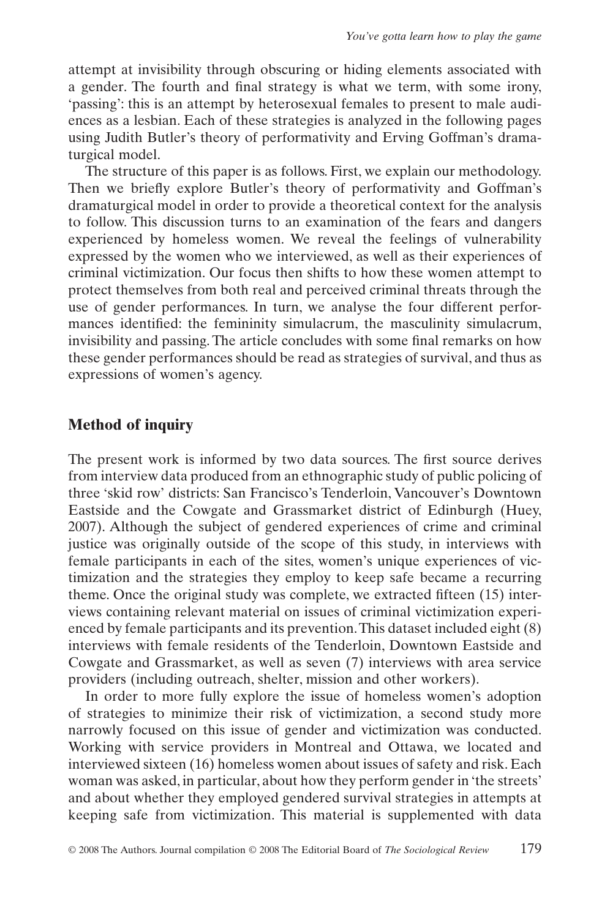attempt at invisibility through obscuring or hiding elements associated with a gender. The fourth and final strategy is what we term, with some irony, 'passing': this is an attempt by heterosexual females to present to male audiences as a lesbian. Each of these strategies is analyzed in the following pages using Judith Butler's theory of performativity and Erving Goffman's dramaturgical model.

The structure of this paper is as follows. First, we explain our methodology. Then we briefly explore Butler's theory of performativity and Goffman's dramaturgical model in order to provide a theoretical context for the analysis to follow. This discussion turns to an examination of the fears and dangers experienced by homeless women. We reveal the feelings of vulnerability expressed by the women who we interviewed, as well as their experiences of criminal victimization. Our focus then shifts to how these women attempt to protect themselves from both real and perceived criminal threats through the use of gender performances. In turn, we analyse the four different performances identified: the femininity simulacrum, the masculinity simulacrum, invisibility and passing. The article concludes with some final remarks on how these gender performances should be read as strategies of survival, and thus as expressions of women's agency.

### **Method of inquiry**

The present work is informed by two data sources. The first source derives from interview data produced from an ethnographic study of public policing of three 'skid row' districts: San Francisco's Tenderloin, Vancouver's Downtown Eastside and the Cowgate and Grassmarket district of Edinburgh (Huey, 2007). Although the subject of gendered experiences of crime and criminal justice was originally outside of the scope of this study, in interviews with female participants in each of the sites, women's unique experiences of victimization and the strategies they employ to keep safe became a recurring theme. Once the original study was complete, we extracted fifteen (15) interviews containing relevant material on issues of criminal victimization experienced by female participants and its prevention.This dataset included eight (8) interviews with female residents of the Tenderloin, Downtown Eastside and Cowgate and Grassmarket, as well as seven (7) interviews with area service providers (including outreach, shelter, mission and other workers).

In order to more fully explore the issue of homeless women's adoption of strategies to minimize their risk of victimization, a second study more narrowly focused on this issue of gender and victimization was conducted. Working with service providers in Montreal and Ottawa, we located and interviewed sixteen (16) homeless women about issues of safety and risk. Each woman was asked, in particular, about how they perform gender in 'the streets' and about whether they employed gendered survival strategies in attempts at keeping safe from victimization. This material is supplemented with data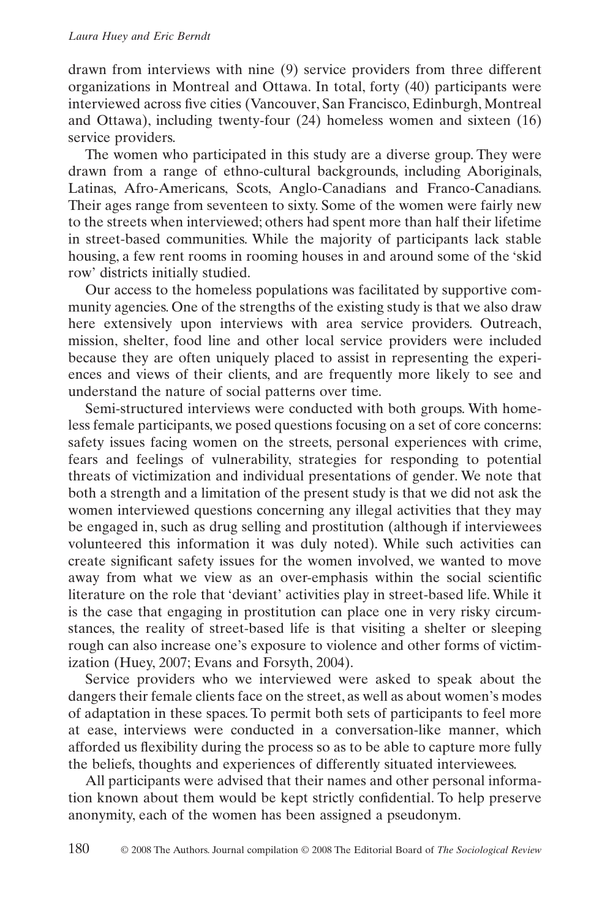#### *Laura Huey and Eric Berndt*

drawn from interviews with nine (9) service providers from three different organizations in Montreal and Ottawa. In total, forty (40) participants were interviewed across five cities (Vancouver, San Francisco, Edinburgh, Montreal and Ottawa), including twenty-four (24) homeless women and sixteen (16) service providers.

The women who participated in this study are a diverse group. They were drawn from a range of ethno-cultural backgrounds, including Aboriginals, Latinas, Afro-Americans, Scots, Anglo-Canadians and Franco-Canadians. Their ages range from seventeen to sixty. Some of the women were fairly new to the streets when interviewed; others had spent more than half their lifetime in street-based communities. While the majority of participants lack stable housing, a few rent rooms in rooming houses in and around some of the 'skid row' districts initially studied.

Our access to the homeless populations was facilitated by supportive community agencies. One of the strengths of the existing study is that we also draw here extensively upon interviews with area service providers. Outreach, mission, shelter, food line and other local service providers were included because they are often uniquely placed to assist in representing the experiences and views of their clients, and are frequently more likely to see and understand the nature of social patterns over time.

Semi-structured interviews were conducted with both groups. With homeless female participants, we posed questions focusing on a set of core concerns: safety issues facing women on the streets, personal experiences with crime, fears and feelings of vulnerability, strategies for responding to potential threats of victimization and individual presentations of gender. We note that both a strength and a limitation of the present study is that we did not ask the women interviewed questions concerning any illegal activities that they may be engaged in, such as drug selling and prostitution (although if interviewees volunteered this information it was duly noted). While such activities can create significant safety issues for the women involved, we wanted to move away from what we view as an over-emphasis within the social scientific literature on the role that 'deviant' activities play in street-based life. While it is the case that engaging in prostitution can place one in very risky circumstances, the reality of street-based life is that visiting a shelter or sleeping rough can also increase one's exposure to violence and other forms of victimization (Huey, 2007; Evans and Forsyth, 2004).

Service providers who we interviewed were asked to speak about the dangers their female clients face on the street, as well as about women's modes of adaptation in these spaces. To permit both sets of participants to feel more at ease, interviews were conducted in a conversation-like manner, which afforded us flexibility during the process so as to be able to capture more fully the beliefs, thoughts and experiences of differently situated interviewees.

All participants were advised that their names and other personal information known about them would be kept strictly confidential. To help preserve anonymity, each of the women has been assigned a pseudonym.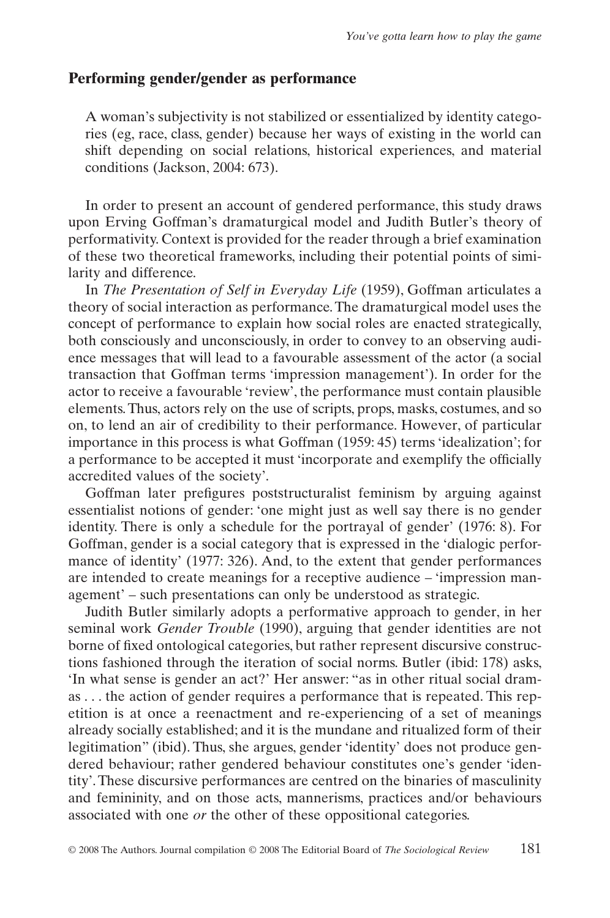### **Performing gender/gender as performance**

A woman's subjectivity is not stabilized or essentialized by identity categories (eg, race, class, gender) because her ways of existing in the world can shift depending on social relations, historical experiences, and material conditions (Jackson, 2004: 673).

In order to present an account of gendered performance, this study draws upon Erving Goffman's dramaturgical model and Judith Butler's theory of performativity. Context is provided for the reader through a brief examination of these two theoretical frameworks, including their potential points of similarity and difference.

In *The Presentation of Self in Everyday Life* (1959), Goffman articulates a theory of social interaction as performance. The dramaturgical model uses the concept of performance to explain how social roles are enacted strategically, both consciously and unconsciously, in order to convey to an observing audience messages that will lead to a favourable assessment of the actor (a social transaction that Goffman terms 'impression management'). In order for the actor to receive a favourable 'review', the performance must contain plausible elements. Thus, actors rely on the use of scripts, props, masks, costumes, and so on, to lend an air of credibility to their performance. However, of particular importance in this process is what Goffman (1959: 45) terms 'idealization'; for a performance to be accepted it must 'incorporate and exemplify the officially accredited values of the society'.

Goffman later prefigures poststructuralist feminism by arguing against essentialist notions of gender: 'one might just as well say there is no gender identity. There is only a schedule for the portrayal of gender' (1976: 8). For Goffman, gender is a social category that is expressed in the 'dialogic performance of identity' (1977: 326). And, to the extent that gender performances are intended to create meanings for a receptive audience – 'impression management' – such presentations can only be understood as strategic.

Judith Butler similarly adopts a performative approach to gender, in her seminal work *Gender Trouble* (1990), arguing that gender identities are not borne of fixed ontological categories, but rather represent discursive constructions fashioned through the iteration of social norms. Butler (ibid: 178) asks, 'In what sense is gender an act?' Her answer: "as in other ritual social dramas . . . the action of gender requires a performance that is repeated. This repetition is at once a reenactment and re-experiencing of a set of meanings already socially established; and it is the mundane and ritualized form of their legitimation" (ibid). Thus, she argues, gender 'identity' does not produce gendered behaviour; rather gendered behaviour constitutes one's gender 'identity'. These discursive performances are centred on the binaries of masculinity and femininity, and on those acts, mannerisms, practices and/or behaviours associated with one *or* the other of these oppositional categories.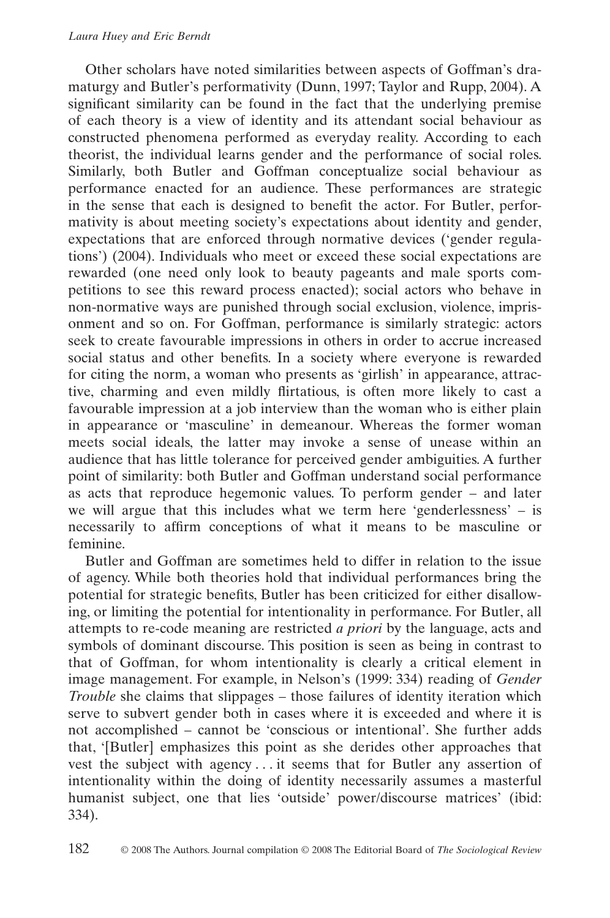#### *Laura Huey and Eric Berndt*

Other scholars have noted similarities between aspects of Goffman's dramaturgy and Butler's performativity (Dunn, 1997; Taylor and Rupp, 2004). A significant similarity can be found in the fact that the underlying premise of each theory is a view of identity and its attendant social behaviour as constructed phenomena performed as everyday reality. According to each theorist, the individual learns gender and the performance of social roles. Similarly, both Butler and Goffman conceptualize social behaviour as performance enacted for an audience. These performances are strategic in the sense that each is designed to benefit the actor. For Butler, performativity is about meeting society's expectations about identity and gender, expectations that are enforced through normative devices ('gender regulations') (2004). Individuals who meet or exceed these social expectations are rewarded (one need only look to beauty pageants and male sports competitions to see this reward process enacted); social actors who behave in non-normative ways are punished through social exclusion, violence, imprisonment and so on. For Goffman, performance is similarly strategic: actors seek to create favourable impressions in others in order to accrue increased social status and other benefits. In a society where everyone is rewarded for citing the norm, a woman who presents as 'girlish' in appearance, attractive, charming and even mildly flirtatious, is often more likely to cast a favourable impression at a job interview than the woman who is either plain in appearance or 'masculine' in demeanour. Whereas the former woman meets social ideals, the latter may invoke a sense of unease within an audience that has little tolerance for perceived gender ambiguities. A further point of similarity: both Butler and Goffman understand social performance as acts that reproduce hegemonic values. To perform gender – and later we will argue that this includes what we term here 'genderlessness' – is necessarily to affirm conceptions of what it means to be masculine or feminine.

Butler and Goffman are sometimes held to differ in relation to the issue of agency. While both theories hold that individual performances bring the potential for strategic benefits, Butler has been criticized for either disallowing, or limiting the potential for intentionality in performance. For Butler, all attempts to re-code meaning are restricted *a priori* by the language, acts and symbols of dominant discourse. This position is seen as being in contrast to that of Goffman, for whom intentionality is clearly a critical element in image management. For example, in Nelson's (1999: 334) reading of *Gender Trouble* she claims that slippages – those failures of identity iteration which serve to subvert gender both in cases where it is exceeded and where it is not accomplished – cannot be 'conscious or intentional'. She further adds that, '[Butler] emphasizes this point as she derides other approaches that vest the subject with agency . . . it seems that for Butler any assertion of intentionality within the doing of identity necessarily assumes a masterful humanist subject, one that lies 'outside' power/discourse matrices' (ibid: 334).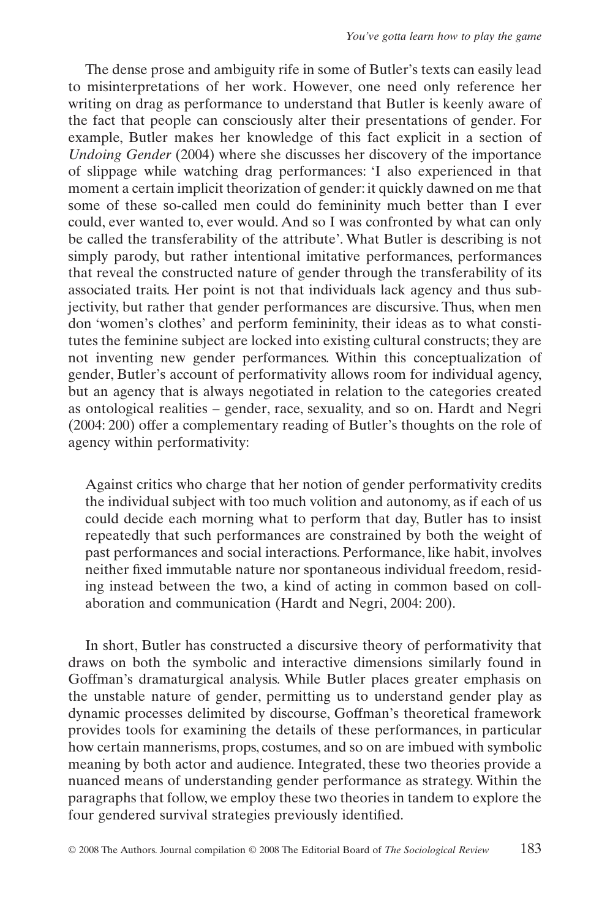The dense prose and ambiguity rife in some of Butler's texts can easily lead to misinterpretations of her work. However, one need only reference her writing on drag as performance to understand that Butler is keenly aware of the fact that people can consciously alter their presentations of gender. For example, Butler makes her knowledge of this fact explicit in a section of *Undoing Gender* (2004) where she discusses her discovery of the importance of slippage while watching drag performances: 'I also experienced in that moment a certain implicit theorization of gender: it quickly dawned on me that some of these so-called men could do femininity much better than I ever could, ever wanted to, ever would. And so I was confronted by what can only be called the transferability of the attribute'. What Butler is describing is not simply parody, but rather intentional imitative performances, performances that reveal the constructed nature of gender through the transferability of its associated traits. Her point is not that individuals lack agency and thus subjectivity, but rather that gender performances are discursive. Thus, when men don 'women's clothes' and perform femininity, their ideas as to what constitutes the feminine subject are locked into existing cultural constructs; they are not inventing new gender performances. Within this conceptualization of gender, Butler's account of performativity allows room for individual agency, but an agency that is always negotiated in relation to the categories created as ontological realities – gender, race, sexuality, and so on. Hardt and Negri (2004: 200) offer a complementary reading of Butler's thoughts on the role of agency within performativity:

Against critics who charge that her notion of gender performativity credits the individual subject with too much volition and autonomy, as if each of us could decide each morning what to perform that day, Butler has to insist repeatedly that such performances are constrained by both the weight of past performances and social interactions. Performance, like habit, involves neither fixed immutable nature nor spontaneous individual freedom, residing instead between the two, a kind of acting in common based on collaboration and communication (Hardt and Negri, 2004: 200).

In short, Butler has constructed a discursive theory of performativity that draws on both the symbolic and interactive dimensions similarly found in Goffman's dramaturgical analysis. While Butler places greater emphasis on the unstable nature of gender, permitting us to understand gender play as dynamic processes delimited by discourse, Goffman's theoretical framework provides tools for examining the details of these performances, in particular how certain mannerisms, props, costumes, and so on are imbued with symbolic meaning by both actor and audience. Integrated, these two theories provide a nuanced means of understanding gender performance as strategy. Within the paragraphs that follow, we employ these two theories in tandem to explore the four gendered survival strategies previously identified.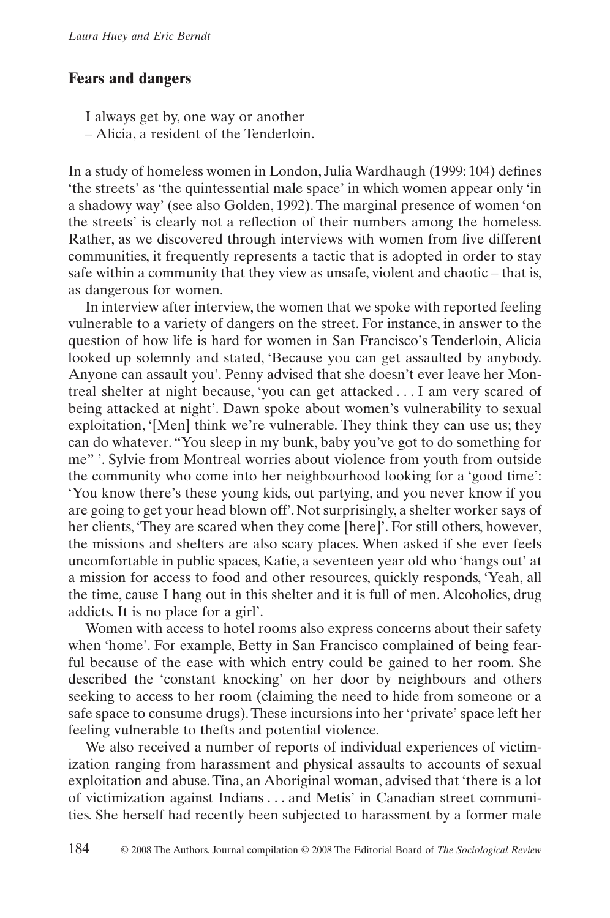### **Fears and dangers**

I always get by, one way or another

– Alicia, a resident of the Tenderloin.

In a study of homeless women in London, Julia Wardhaugh (1999: 104) defines 'the streets' as 'the quintessential male space' in which women appear only 'in a shadowy way' (see also Golden, 1992). The marginal presence of women 'on the streets' is clearly not a reflection of their numbers among the homeless. Rather, as we discovered through interviews with women from five different communities, it frequently represents a tactic that is adopted in order to stay safe within a community that they view as unsafe, violent and chaotic – that is, as dangerous for women.

In interview after interview, the women that we spoke with reported feeling vulnerable to a variety of dangers on the street. For instance, in answer to the question of how life is hard for women in San Francisco's Tenderloin, Alicia looked up solemnly and stated, 'Because you can get assaulted by anybody. Anyone can assault you'. Penny advised that she doesn't ever leave her Montreal shelter at night because, 'you can get attacked . . . I am very scared of being attacked at night'. Dawn spoke about women's vulnerability to sexual exploitation, '[Men] think we're vulnerable. They think they can use us; they can do whatever. "You sleep in my bunk, baby you've got to do something for me" '. Sylvie from Montreal worries about violence from youth from outside the community who come into her neighbourhood looking for a 'good time': 'You know there's these young kids, out partying, and you never know if you are going to get your head blown off'. Not surprisingly, a shelter worker says of her clients, 'They are scared when they come [here]'. For still others, however, the missions and shelters are also scary places. When asked if she ever feels uncomfortable in public spaces, Katie, a seventeen year old who 'hangs out' at a mission for access to food and other resources, quickly responds, 'Yeah, all the time, cause I hang out in this shelter and it is full of men. Alcoholics, drug addicts. It is no place for a girl'.

Women with access to hotel rooms also express concerns about their safety when 'home'. For example, Betty in San Francisco complained of being fearful because of the ease with which entry could be gained to her room. She described the 'constant knocking' on her door by neighbours and others seeking to access to her room (claiming the need to hide from someone or a safe space to consume drugs).These incursions into her 'private' space left her feeling vulnerable to thefts and potential violence.

We also received a number of reports of individual experiences of victimization ranging from harassment and physical assaults to accounts of sexual exploitation and abuse. Tina, an Aboriginal woman, advised that 'there is a lot of victimization against Indians . . . and Metis' in Canadian street communities. She herself had recently been subjected to harassment by a former male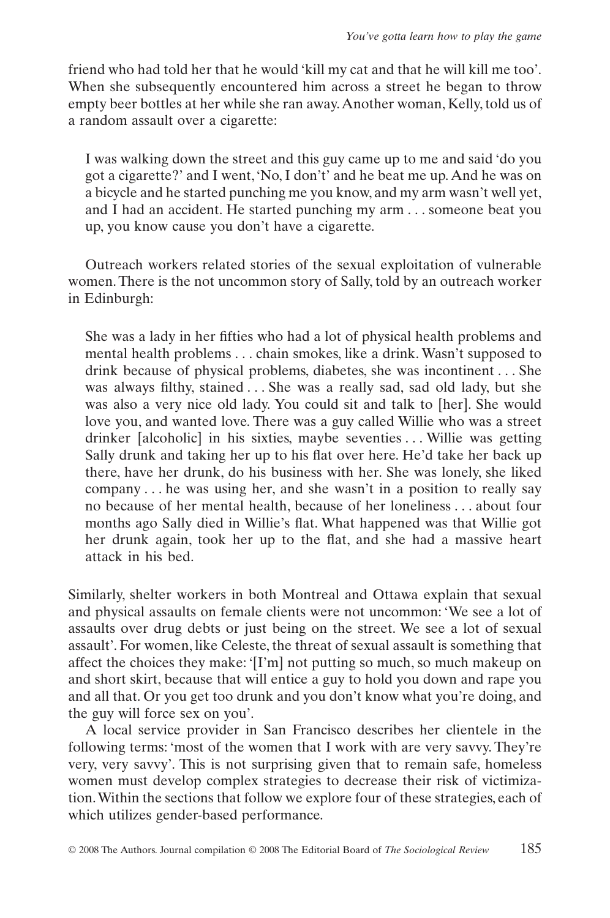friend who had told her that he would 'kill my cat and that he will kill me too'. When she subsequently encountered him across a street he began to throw empty beer bottles at her while she ran away.Another woman, Kelly, told us of a random assault over a cigarette:

I was walking down the street and this guy came up to me and said 'do you got a cigarette?' and I went, 'No, I don't' and he beat me up. And he was on a bicycle and he started punching me you know, and my arm wasn't well yet, and I had an accident. He started punching my arm... someone beat you up, you know cause you don't have a cigarette.

Outreach workers related stories of the sexual exploitation of vulnerable women. There is the not uncommon story of Sally, told by an outreach worker in Edinburgh:

She was a lady in her fifties who had a lot of physical health problems and mental health problems... chain smokes, like a drink. Wasn't supposed to drink because of physical problems, diabetes, she was incontinent . . . She was always filthy, stained . . . She was a really sad, sad old lady, but she was also a very nice old lady. You could sit and talk to [her]. She would love you, and wanted love. There was a guy called Willie who was a street drinker [alcoholic] in his sixties, maybe seventies...Willie was getting Sally drunk and taking her up to his flat over here. He'd take her back up there, have her drunk, do his business with her. She was lonely, she liked company . . . he was using her, and she wasn't in a position to really say no because of her mental health, because of her loneliness... about four months ago Sally died in Willie's flat. What happened was that Willie got her drunk again, took her up to the flat, and she had a massive heart attack in his bed.

Similarly, shelter workers in both Montreal and Ottawa explain that sexual and physical assaults on female clients were not uncommon: 'We see a lot of assaults over drug debts or just being on the street. We see a lot of sexual assault'. For women, like Celeste, the threat of sexual assault is something that affect the choices they make: '[I'm] not putting so much, so much makeup on and short skirt, because that will entice a guy to hold you down and rape you and all that. Or you get too drunk and you don't know what you're doing, and the guy will force sex on you'.

A local service provider in San Francisco describes her clientele in the following terms: 'most of the women that I work with are very savvy. They're very, very savvy'. This is not surprising given that to remain safe, homeless women must develop complex strategies to decrease their risk of victimization.Within the sections that follow we explore four of these strategies, each of which utilizes gender-based performance.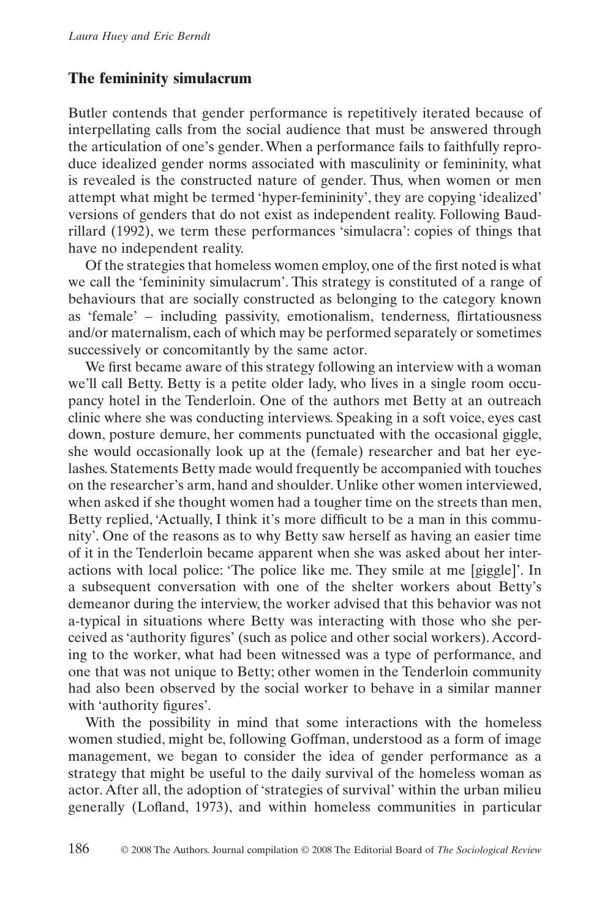## **The femininity simulacrum**

Butler contends that gender performance is repetitively iterated because of interpellating calls from the social audience that must be answered through the articulation of one's gender. When a performance fails to faithfully reproduce idealized gender norms associated with masculinity or femininity, what is revealed is the constructed nature of gender. Thus, when women or men attempt what might be termed 'hyper-femininity', they are copying 'idealized' versions of genders that do not exist as independent reality. Following Baudrillard (1992), we term these performances 'simulacra': copies of things that have no independent reality.

Of the strategies that homeless women employ, one of the first noted is what we call the 'femininity simulacrum'. This strategy is constituted of a range of behaviours that are socially constructed as belonging to the category known as 'female' – including passivity, emotionalism, tenderness, flirtatiousness and/or maternalism, each of which may be performed separately or sometimes successively or concomitantly by the same actor.

We first became aware of this strategy following an interview with a woman we'll call Betty. Betty is a petite older lady, who lives in a single room occupancy hotel in the Tenderloin. One of the authors met Betty at an outreach clinic where she was conducting interviews. Speaking in a soft voice, eyes cast down, posture demure, her comments punctuated with the occasional giggle, she would occasionally look up at the (female) researcher and bat her eyelashes. Statements Betty made would frequently be accompanied with touches on the researcher's arm, hand and shoulder. Unlike other women interviewed, when asked if she thought women had a tougher time on the streets than men, Betty replied, 'Actually, I think it's more difficult to be a man in this community'. One of the reasons as to why Betty saw herself as having an easier time of it in the Tenderloin became apparent when she was asked about her interactions with local police: 'The police like me. They smile at me [giggle]'. In a subsequent conversation with one of the shelter workers about Betty's demeanor during the interview, the worker advised that this behavior was not a-typical in situations where Betty was interacting with those who she perceived as 'authority figures' (such as police and other social workers). According to the worker, what had been witnessed was a type of performance, and one that was not unique to Betty; other women in the Tenderloin community had also been observed by the social worker to behave in a similar manner with 'authority figures'.

With the possibility in mind that some interactions with the homeless women studied, might be, following Goffman, understood as a form of image management, we began to consider the idea of gender performance as a strategy that might be useful to the daily survival of the homeless woman as actor. After all, the adoption of 'strategies of survival' within the urban milieu generally (Lofland, 1973), and within homeless communities in particular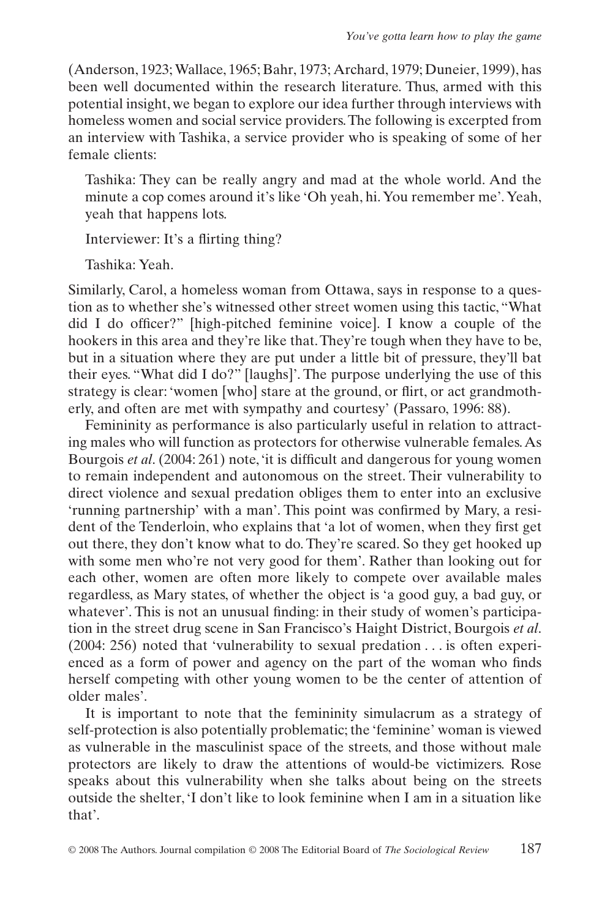(Anderson, 1923; Wallace, 1965; Bahr, 1973; Archard, 1979; Duneier, 1999), has been well documented within the research literature. Thus, armed with this potential insight, we began to explore our idea further through interviews with homeless women and social service providers.The following is excerpted from an interview with Tashika, a service provider who is speaking of some of her female clients:

Tashika: They can be really angry and mad at the whole world. And the minute a cop comes around it's like 'Oh yeah, hi. You remember me'. Yeah, yeah that happens lots.

Interviewer: It's a flirting thing?

Tashika: Yeah.

Similarly, Carol, a homeless woman from Ottawa, says in response to a question as to whether she's witnessed other street women using this tactic, "What did I do officer?" [high-pitched feminine voice]. I know a couple of the hookers in this area and they're like that. They're tough when they have to be, but in a situation where they are put under a little bit of pressure, they'll bat their eyes. "What did I do?" [laughs]'. The purpose underlying the use of this strategy is clear: 'women [who] stare at the ground, or flirt, or act grandmotherly, and often are met with sympathy and courtesy' (Passaro, 1996: 88).

Femininity as performance is also particularly useful in relation to attracting males who will function as protectors for otherwise vulnerable females. As Bourgois *et al*. (2004: 261) note, 'it is difficult and dangerous for young women to remain independent and autonomous on the street. Their vulnerability to direct violence and sexual predation obliges them to enter into an exclusive 'running partnership' with a man'. This point was confirmed by Mary, a resident of the Tenderloin, who explains that 'a lot of women, when they first get out there, they don't know what to do. They're scared. So they get hooked up with some men who're not very good for them'. Rather than looking out for each other, women are often more likely to compete over available males regardless, as Mary states, of whether the object is 'a good guy, a bad guy, or whatever'. This is not an unusual finding: in their study of women's participation in the street drug scene in San Francisco's Haight District, Bourgois *et al*. (2004: 256) noted that 'vulnerability to sexual predation . . . is often experienced as a form of power and agency on the part of the woman who finds herself competing with other young women to be the center of attention of older males'.

It is important to note that the femininity simulacrum as a strategy of self-protection is also potentially problematic; the 'feminine' woman is viewed as vulnerable in the masculinist space of the streets, and those without male protectors are likely to draw the attentions of would-be victimizers. Rose speaks about this vulnerability when she talks about being on the streets outside the shelter, 'I don't like to look feminine when I am in a situation like that'.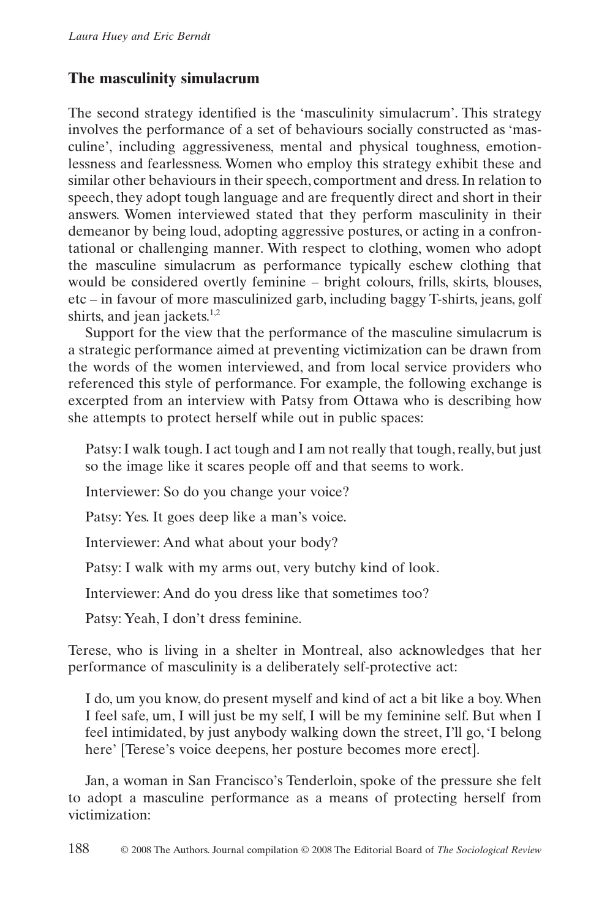# **The masculinity simulacrum**

The second strategy identified is the 'masculinity simulacrum'. This strategy involves the performance of a set of behaviours socially constructed as 'masculine', including aggressiveness, mental and physical toughness, emotionlessness and fearlessness. Women who employ this strategy exhibit these and similar other behaviours in their speech, comportment and dress. In relation to speech, they adopt tough language and are frequently direct and short in their answers. Women interviewed stated that they perform masculinity in their demeanor by being loud, adopting aggressive postures, or acting in a confrontational or challenging manner. With respect to clothing, women who adopt the masculine simulacrum as performance typically eschew clothing that would be considered overtly feminine – bright colours, frills, skirts, blouses, etc – in favour of more masculinized garb, including baggy T-shirts, jeans, golf shirts, and jean jackets. $1,2$ 

Support for the view that the performance of the masculine simulacrum is a strategic performance aimed at preventing victimization can be drawn from the words of the women interviewed, and from local service providers who referenced this style of performance. For example, the following exchange is excerpted from an interview with Patsy from Ottawa who is describing how she attempts to protect herself while out in public spaces:

Patsy: I walk tough. I act tough and I am not really that tough, really, but just so the image like it scares people off and that seems to work.

Interviewer: So do you change your voice?

Patsy: Yes. It goes deep like a man's voice.

Interviewer: And what about your body?

Patsy: I walk with my arms out, very butchy kind of look.

Interviewer: And do you dress like that sometimes too?

Patsy: Yeah, I don't dress feminine.

Terese, who is living in a shelter in Montreal, also acknowledges that her performance of masculinity is a deliberately self-protective act:

I do, um you know, do present myself and kind of act a bit like a boy. When I feel safe, um, I will just be my self, I will be my feminine self. But when I feel intimidated, by just anybody walking down the street, I'll go, 'I belong here' [Terese's voice deepens, her posture becomes more erect].

Jan, a woman in San Francisco's Tenderloin, spoke of the pressure she felt to adopt a masculine performance as a means of protecting herself from victimization: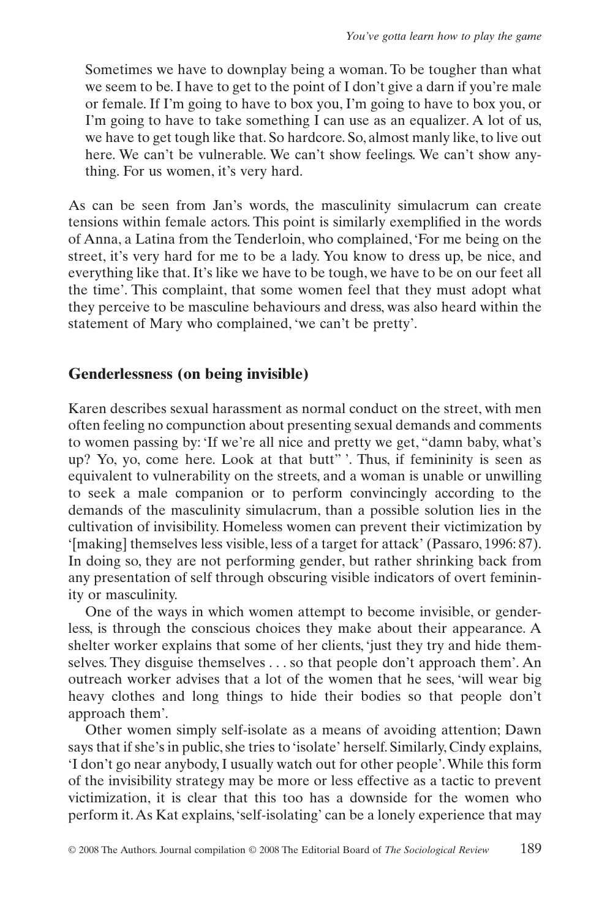Sometimes we have to downplay being a woman. To be tougher than what we seem to be. I have to get to the point of I don't give a darn if you're male or female. If I'm going to have to box you, I'm going to have to box you, or I'm going to have to take something I can use as an equalizer. A lot of us, we have to get tough like that. So hardcore. So, almost manly like, to live out here. We can't be vulnerable. We can't show feelings. We can't show anything. For us women, it's very hard.

As can be seen from Jan's words, the masculinity simulacrum can create tensions within female actors. This point is similarly exemplified in the words of Anna, a Latina from the Tenderloin, who complained, 'For me being on the street, it's very hard for me to be a lady. You know to dress up, be nice, and everything like that. It's like we have to be tough, we have to be on our feet all the time'. This complaint, that some women feel that they must adopt what they perceive to be masculine behaviours and dress, was also heard within the statement of Mary who complained, 'we can't be pretty'.

## **Genderlessness (on being invisible)**

Karen describes sexual harassment as normal conduct on the street, with men often feeling no compunction about presenting sexual demands and comments to women passing by: 'If we're all nice and pretty we get, "damn baby, what's up? Yo, yo, come here. Look at that butt" '. Thus, if femininity is seen as equivalent to vulnerability on the streets, and a woman is unable or unwilling to seek a male companion or to perform convincingly according to the demands of the masculinity simulacrum, than a possible solution lies in the cultivation of invisibility. Homeless women can prevent their victimization by '[making] themselves less visible, less of a target for attack' (Passaro, 1996: 87). In doing so, they are not performing gender, but rather shrinking back from any presentation of self through obscuring visible indicators of overt femininity or masculinity.

One of the ways in which women attempt to become invisible, or genderless, is through the conscious choices they make about their appearance. A shelter worker explains that some of her clients, 'just they try and hide themselves. They disguise themselves . . . so that people don't approach them'. An outreach worker advises that a lot of the women that he sees, 'will wear big heavy clothes and long things to hide their bodies so that people don't approach them'.

Other women simply self-isolate as a means of avoiding attention; Dawn says that if she's in public, she tries to 'isolate' herself. Similarly, Cindy explains, 'I don't go near anybody, I usually watch out for other people'.While this form of the invisibility strategy may be more or less effective as a tactic to prevent victimization, it is clear that this too has a downside for the women who perform it.As Kat explains,'self-isolating' can be a lonely experience that may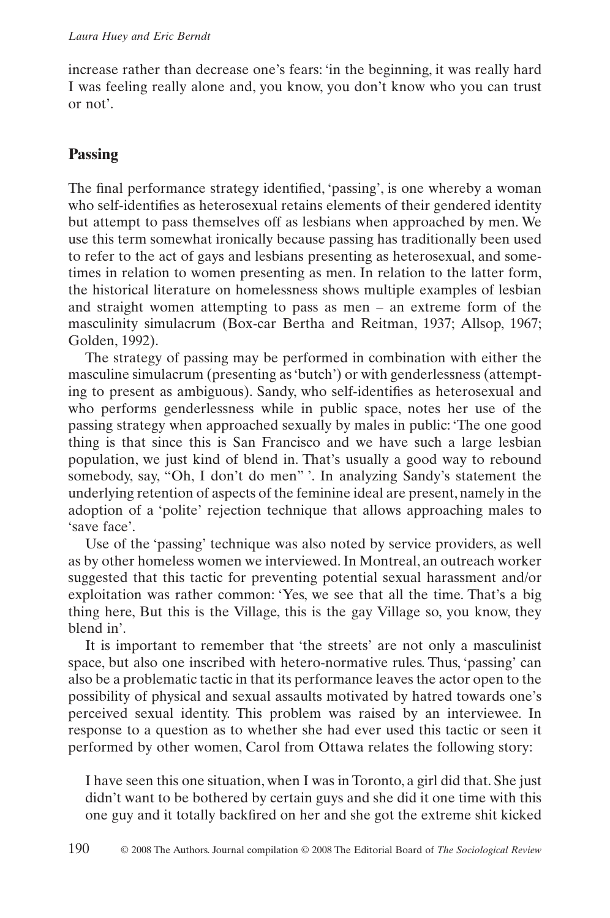increase rather than decrease one's fears: 'in the beginning, it was really hard I was feeling really alone and, you know, you don't know who you can trust or not'.

# **Passing**

The final performance strategy identified, 'passing', is one whereby a woman who self-identifies as heterosexual retains elements of their gendered identity but attempt to pass themselves off as lesbians when approached by men. We use this term somewhat ironically because passing has traditionally been used to refer to the act of gays and lesbians presenting as heterosexual, and sometimes in relation to women presenting as men. In relation to the latter form, the historical literature on homelessness shows multiple examples of lesbian and straight women attempting to pass as men – an extreme form of the masculinity simulacrum (Box-car Bertha and Reitman, 1937; Allsop, 1967; Golden, 1992).

The strategy of passing may be performed in combination with either the masculine simulacrum (presenting as 'butch') or with genderlessness (attempting to present as ambiguous). Sandy, who self-identifies as heterosexual and who performs genderlessness while in public space, notes her use of the passing strategy when approached sexually by males in public: 'The one good thing is that since this is San Francisco and we have such a large lesbian population, we just kind of blend in. That's usually a good way to rebound somebody, say, "Oh, I don't do men" '. In analyzing Sandy's statement the underlying retention of aspects of the feminine ideal are present, namely in the adoption of a 'polite' rejection technique that allows approaching males to 'save face'.

Use of the 'passing' technique was also noted by service providers, as well as by other homeless women we interviewed. In Montreal, an outreach worker suggested that this tactic for preventing potential sexual harassment and/or exploitation was rather common: 'Yes, we see that all the time. That's a big thing here, But this is the Village, this is the gay Village so, you know, they blend in'.

It is important to remember that 'the streets' are not only a masculinist space, but also one inscribed with hetero-normative rules. Thus, 'passing' can also be a problematic tactic in that its performance leaves the actor open to the possibility of physical and sexual assaults motivated by hatred towards one's perceived sexual identity. This problem was raised by an interviewee. In response to a question as to whether she had ever used this tactic or seen it performed by other women, Carol from Ottawa relates the following story:

I have seen this one situation, when I was in Toronto, a girl did that. She just didn't want to be bothered by certain guys and she did it one time with this one guy and it totally backfired on her and she got the extreme shit kicked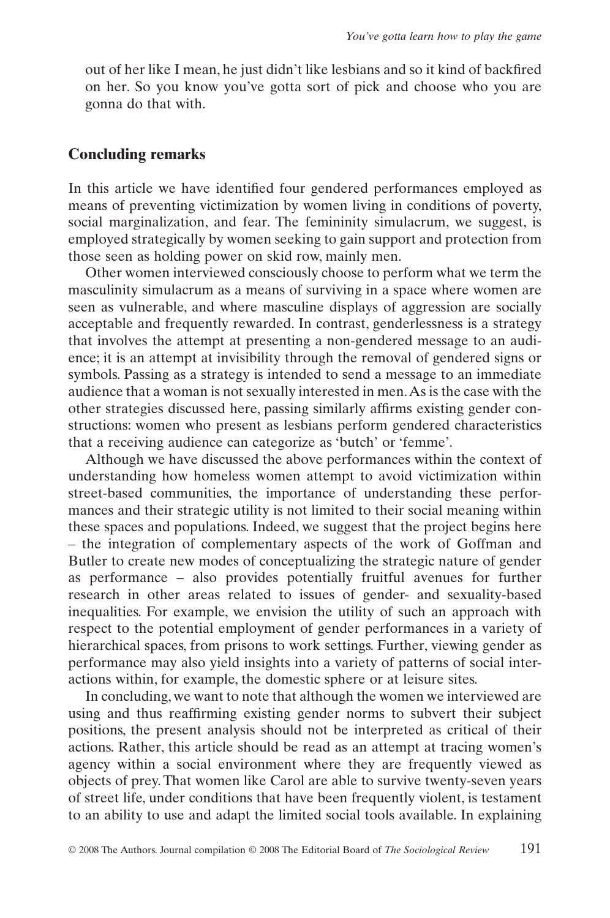out of her like I mean, he just didn't like lesbians and so it kind of backfired on her. So you know you've gotta sort of pick and choose who you are gonna do that with.

#### **Concluding remarks**

In this article we have identified four gendered performances employed as means of preventing victimization by women living in conditions of poverty, social marginalization, and fear. The femininity simulacrum, we suggest, is employed strategically by women seeking to gain support and protection from those seen as holding power on skid row, mainly men.

Other women interviewed consciously choose to perform what we term the masculinity simulacrum as a means of surviving in a space where women are seen as vulnerable, and where masculine displays of aggression are socially acceptable and frequently rewarded. In contrast, genderlessness is a strategy that involves the attempt at presenting a non-gendered message to an audience; it is an attempt at invisibility through the removal of gendered signs or symbols. Passing as a strategy is intended to send a message to an immediate audience that a woman is not sexually interested in men.As is the case with the other strategies discussed here, passing similarly affirms existing gender constructions: women who present as lesbians perform gendered characteristics that a receiving audience can categorize as 'butch' or 'femme'.

Although we have discussed the above performances within the context of understanding how homeless women attempt to avoid victimization within street-based communities, the importance of understanding these performances and their strategic utility is not limited to their social meaning within these spaces and populations. Indeed, we suggest that the project begins here – the integration of complementary aspects of the work of Goffman and Butler to create new modes of conceptualizing the strategic nature of gender as performance – also provides potentially fruitful avenues for further research in other areas related to issues of gender- and sexuality-based inequalities. For example, we envision the utility of such an approach with respect to the potential employment of gender performances in a variety of hierarchical spaces, from prisons to work settings. Further, viewing gender as performance may also yield insights into a variety of patterns of social interactions within, for example, the domestic sphere or at leisure sites.

In concluding, we want to note that although the women we interviewed are using and thus reaffirming existing gender norms to subvert their subject positions, the present analysis should not be interpreted as critical of their actions. Rather, this article should be read as an attempt at tracing women's agency within a social environment where they are frequently viewed as objects of prey. That women like Carol are able to survive twenty-seven years of street life, under conditions that have been frequently violent, is testament to an ability to use and adapt the limited social tools available. In explaining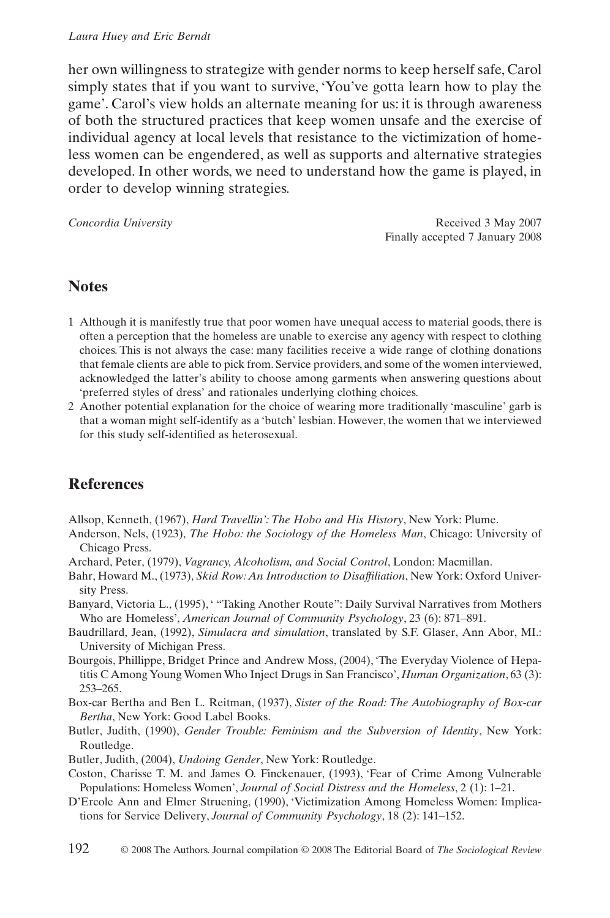#### *Laura Huey and Eric Berndt*

her own willingness to strategize with gender norms to keep herself safe, Carol simply states that if you want to survive, 'You've gotta learn how to play the game'. Carol's view holds an alternate meaning for us: it is through awareness of both the structured practices that keep women unsafe and the exercise of individual agency at local levels that resistance to the victimization of homeless women can be engendered, as well as supports and alternative strategies developed. In other words, we need to understand how the game is played, in order to develop winning strategies.

**Concordia University Received 3 May 2007** Finally accepted 7 January 2008

# **Notes**

- 1 Although it is manifestly true that poor women have unequal access to material goods, there is often a perception that the homeless are unable to exercise any agency with respect to clothing choices. This is not always the case: many facilities receive a wide range of clothing donations that female clients are able to pick from. Service providers, and some of the women interviewed, acknowledged the latter's ability to choose among garments when answering questions about 'preferred styles of dress' and rationales underlying clothing choices.
- 2 Another potential explanation for the choice of wearing more traditionally 'masculine' garb is that a woman might self-identify as a 'butch' lesbian. However, the women that we interviewed for this study self-identified as heterosexual.

# **References**

Allsop, Kenneth, (1967), *Hard Travellin': The Hobo and His History*, New York: Plume.

- Anderson, Nels, (1923), *The Hobo: the Sociology of the Homeless Man*, Chicago: University of Chicago Press.
- Archard, Peter, (1979), *Vagrancy, Alcoholism, and Social Control*, London: Macmillan.
- Bahr, Howard M., (1973), *Skid Row: An Introduction to Disaffiliation*, New York: Oxford University Press.
- Banyard, Victoria L., (1995), ' "Taking Another Route": Daily Survival Narratives from Mothers Who are Homeless', *American Journal of Community Psychology*, 23 (6): 871–891.
- Baudrillard, Jean, (1992), *Simulacra and simulation*, translated by S.F. Glaser, Ann Abor, MI.: University of Michigan Press.
- Bourgois, Phillippe, Bridget Prince and Andrew Moss, (2004), 'The Everyday Violence of Hepatitis C Among Young Women Who Inject Drugs in San Francisco', *Human Organization*, 63 (3): 253–265.
- Box-car Bertha and Ben L. Reitman, (1937), *Sister of the Road: The Autobiography of Box-car Bertha*, New York: Good Label Books.
- Butler, Judith, (1990), *Gender Trouble: Feminism and the Subversion of Identity*, New York: Routledge.
- Butler, Judith, (2004), *Undoing Gender*, New York: Routledge.
- Coston, Charisse T. M. and James O. Finckenauer, (1993), 'Fear of Crime Among Vulnerable Populations: Homeless Women', *Journal of Social Distress and the Homeless*, 2 (1): 1–21.
- D'Ercole Ann and Elmer Struening, (1990), 'Victimization Among Homeless Women: Implications for Service Delivery, *Journal of Community Psychology*, 18 (2): 141–152.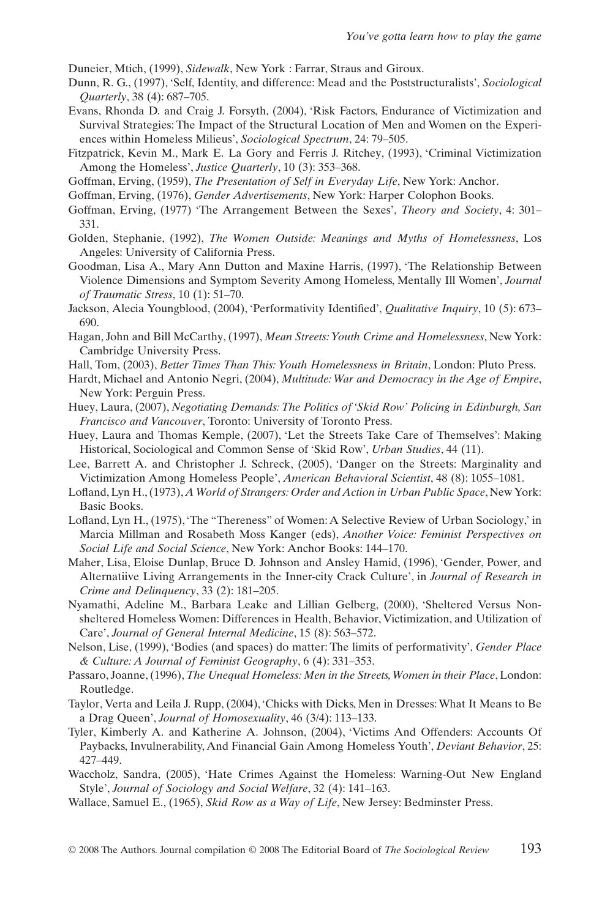Duneier, Mtich, (1999), *Sidewalk*, New York : Farrar, Straus and Giroux.

- Dunn, R. G., (1997), 'Self, Identity, and difference: Mead and the Poststructuralists', *Sociological Quarterly*, 38 (4): 687–705.
- Evans, Rhonda D. and Craig J. Forsyth, (2004), 'Risk Factors, Endurance of Victimization and Survival Strategies: The Impact of the Structural Location of Men and Women on the Experiences within Homeless Milieus', *Sociological Spectrum*, 24: 79–505.
- Fitzpatrick, Kevin M., Mark E. La Gory and Ferris J. Ritchey, (1993), 'Criminal Victimization Among the Homeless', *Justice Quarterly*, 10 (3): 353–368.
- Goffman, Erving, (1959), *The Presentation of Self in Everyday Life*, New York: Anchor.
- Goffman, Erving, (1976), *Gender Advertisements*, New York: Harper Colophon Books.
- Goffman, Erving, (1977) 'The Arrangement Between the Sexes', *Theory and Society*, 4: 301– 331.
- Golden, Stephanie, (1992), *The Women Outside: Meanings and Myths of Homelessness*, Los Angeles: University of California Press.
- Goodman, Lisa A., Mary Ann Dutton and Maxine Harris, (1997), 'The Relationship Between Violence Dimensions and Symptom Severity Among Homeless, Mentally Ill Women', *Journal of Traumatic Stress*, 10 (1): 51–70.
- Jackson, Alecia Youngblood, (2004), 'Performativity Identified', *Qualitative Inquiry*, 10 (5): 673– 690.
- Hagan, John and Bill McCarthy, (1997), *Mean Streets: Youth Crime and Homelessness*, New York: Cambridge University Press.
- Hall, Tom, (2003), *Better Times Than This: Youth Homelessness in Britain*, London: Pluto Press.
- Hardt, Michael and Antonio Negri, (2004), *Multitude: War and Democracy in the Age of Empire*, New York: Perguin Press.
- Huey, Laura, (2007), *Negotiating Demands: The Politics of 'Skid Row' Policing in Edinburgh, San Francisco and Vancouver*, Toronto: University of Toronto Press.
- Huey, Laura and Thomas Kemple, (2007), 'Let the Streets Take Care of Themselves': Making Historical, Sociological and Common Sense of 'Skid Row', *Urban Studies*, 44 (11).
- Lee, Barrett A. and Christopher J. Schreck, (2005), 'Danger on the Streets: Marginality and Victimization Among Homeless People', *American Behavioral Scientist*, 48 (8): 1055–1081.
- Lofland, Lyn H., (1973), *A World of Strangers: Order and Action in Urban Public Space*, New York: Basic Books.
- Lofland, Lyn H., (1975), 'The "Thereness" of Women: A Selective Review of Urban Sociology,' in Marcia Millman and Rosabeth Moss Kanger (eds), *Another Voice: Feminist Perspectives on Social Life and Social Science*, New York: Anchor Books: 144–170.
- Maher, Lisa, Eloise Dunlap, Bruce D. Johnson and Ansley Hamid, (1996), 'Gender, Power, and Alternatiive Living Arrangements in the Inner-city Crack Culture', in *Journal of Research in Crime and Delinquency*, 33 (2): 181–205.
- Nyamathi, Adeline M., Barbara Leake and Lillian Gelberg, (2000), 'Sheltered Versus Nonsheltered Homeless Women: Differences in Health, Behavior, Victimization, and Utilization of Care', *Journal of General Internal Medicine*, 15 (8): 563–572.
- Nelson, Lise, (1999), 'Bodies (and spaces) do matter: The limits of performativity', *Gender Place & Culture: A Journal of Feminist Geography*, 6 (4): 331–353.
- Passaro, Joanne, (1996), *The Unequal Homeless: Men in the Streets,Women in their Place*, London: Routledge.
- Taylor, Verta and Leila J. Rupp, (2004), 'Chicks with Dicks, Men in Dresses: What It Means to Be a Drag Queen', *Journal of Homosexuality*, 46 (3/4): 113–133.
- Tyler, Kimberly A. and Katherine A. Johnson, (2004), 'Victims And Offenders: Accounts Of Paybacks, Invulnerability, And Financial Gain Among Homeless Youth', *Deviant Behavior*, 25: 427–449.
- Waccholz, Sandra, (2005), 'Hate Crimes Against the Homeless: Warning-Out New England Style', *Journal of Sociology and Social Welfare*, 32 (4): 141–163.
- Wallace, Samuel E., (1965), *Skid Row as a Way of Life*, New Jersey: Bedminster Press.